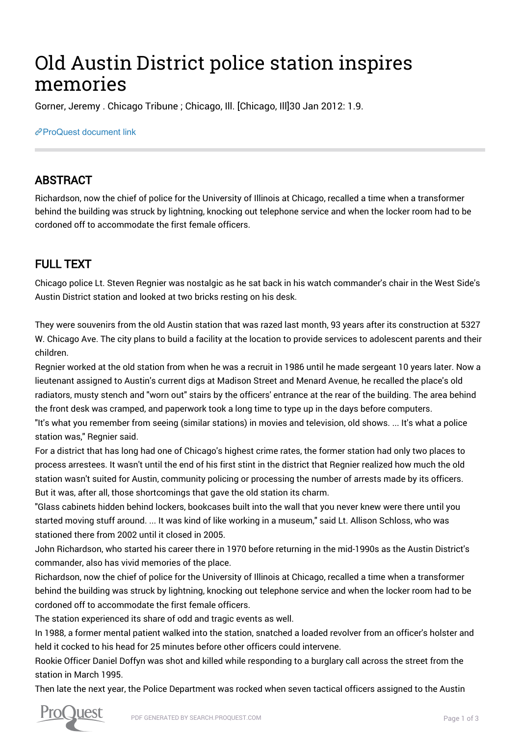# Old Austin District police station inspires memories

Gorner, Jeremy . Chicago Tribune ; Chicago, Ill. [Chicago, Ill]30 Jan 2012: 1.9.

### [ProQuest document link](http://gatekeeper.chipublib.org/login?url=https://search.proquest.com/docview/918566549?accountid=303)

## ABSTRACT

Richardson, now the chief of police for the University of Illinois at Chicago, recalled a time when a transformer behind the building was struck by lightning, knocking out telephone service and when the locker room had to be cordoned off to accommodate the first female officers.

# FULL TEXT

Chicago police Lt. Steven Regnier was nostalgic as he sat back in his watch commander's chair in the West Side's Austin District station and looked at two bricks resting on his desk.

They were souvenirs from the old Austin station that was razed last month, 93 years after its construction at 5327 W. Chicago Ave. The city plans to build a facility at the location to provide services to adolescent parents and their children.

Regnier worked at the old station from when he was a recruit in 1986 until he made sergeant 10 years later. Now a lieutenant assigned to Austin's current digs at Madison Street and Menard Avenue, he recalled the place's old radiators, musty stench and "worn out" stairs by the officers' entrance at the rear of the building. The area behind the front desk was cramped, and paperwork took a long time to type up in the days before computers.

"It's what you remember from seeing (similar stations) in movies and television, old shows. ... It's what a police station was," Regnier said.

For a district that has long had one of Chicago's highest crime rates, the former station had only two places to process arrestees. It wasn't until the end of his first stint in the district that Regnier realized how much the old station wasn't suited for Austin, community policing or processing the number of arrests made by its officers. But it was, after all, those shortcomings that gave the old station its charm.

"Glass cabinets hidden behind lockers, bookcases built into the wall that you never knew were there until you started moving stuff around. ... It was kind of like working in a museum," said Lt. Allison Schloss, who was stationed there from 2002 until it closed in 2005.

John Richardson, who started his career there in 1970 before returning in the mid-1990s as the Austin District's commander, also has vivid memories of the place.

Richardson, now the chief of police for the University of Illinois at Chicago, recalled a time when a transformer behind the building was struck by lightning, knocking out telephone service and when the locker room had to be cordoned off to accommodate the first female officers.

The station experienced its share of odd and tragic events as well.

In 1988, a former mental patient walked into the station, snatched a loaded revolver from an officer's holster and held it cocked to his head for 25 minutes before other officers could intervene.

Rookie Officer Daniel Doffyn was shot and killed while responding to a burglary call across the street from the station in March 1995.

Then late the next year, the Police Department was rocked when seven tactical officers assigned to the Austin

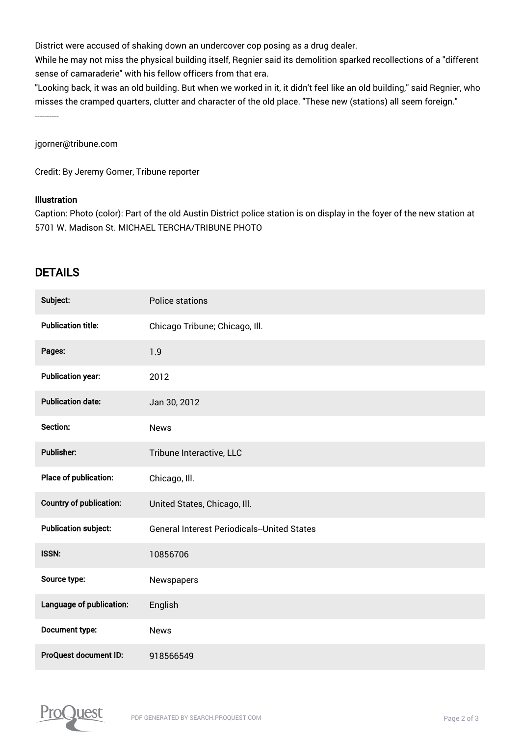District were accused of shaking down an undercover cop posing as a drug dealer.

While he may not miss the physical building itself, Regnier said its demolition sparked recollections of a "different sense of camaraderie" with his fellow officers from that era.

"Looking back, it was an old building. But when we worked in it, it didn't feel like an old building," said Regnier, who misses the cramped quarters, clutter and character of the old place. "These new (stations) all seem foreign." ----------

jgorner@tribune.com

Credit: By Jeremy Gorner, Tribune reporter

#### **Illustration**

Caption: Photo (color): Part of the old Austin District police station is on display in the foyer of the new station at 5701 W. Madison St. MICHAEL TERCHA/TRIBUNE PHOTO

## DETAILS

| Subject:                       | <b>Police stations</b>                             |
|--------------------------------|----------------------------------------------------|
| <b>Publication title:</b>      | Chicago Tribune; Chicago, Ill.                     |
| Pages:                         | 1.9                                                |
| <b>Publication year:</b>       | 2012                                               |
| <b>Publication date:</b>       | Jan 30, 2012                                       |
| Section:                       | <b>News</b>                                        |
| Publisher:                     | Tribune Interactive, LLC                           |
| Place of publication:          | Chicago, Ill.                                      |
| <b>Country of publication:</b> | United States, Chicago, Ill.                       |
| <b>Publication subject:</b>    | <b>General Interest Periodicals--United States</b> |
| <b>ISSN:</b>                   | 10856706                                           |
| Source type:                   | Newspapers                                         |
| Language of publication:       | English                                            |
| Document type:                 | <b>News</b>                                        |
| ProQuest document ID:          | 918566549                                          |